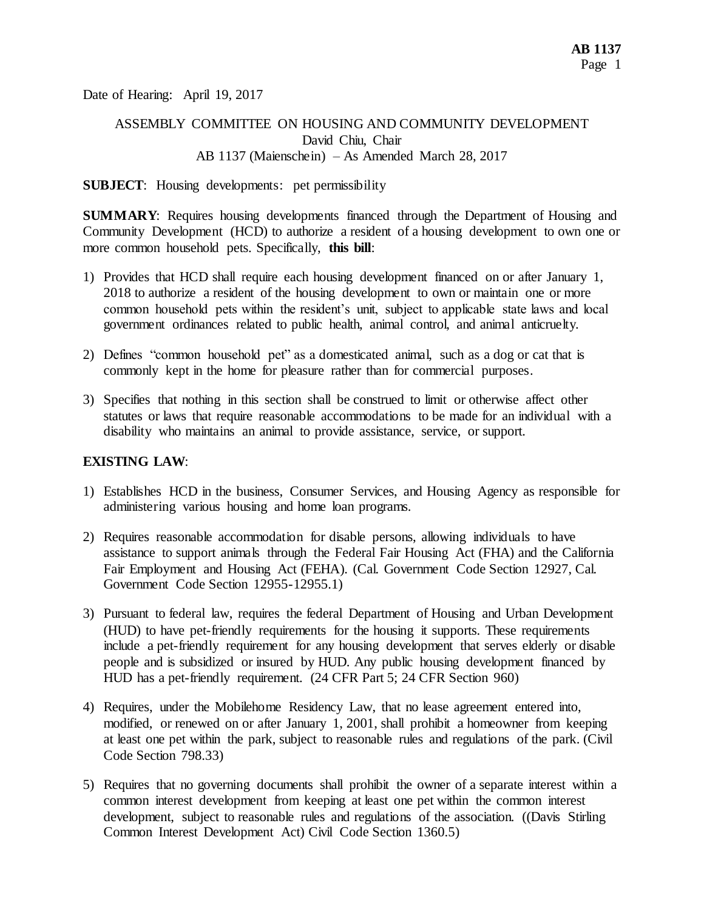Date of Hearing: April 19, 2017

## ASSEMBLY COMMITTEE ON HOUSING AND COMMUNITY DEVELOPMENT David Chiu, Chair AB 1137 (Maienschein) – As Amended March 28, 2017

#### **SUBJECT:** Housing developments: pet permissibility

**SUMMARY**: Requires housing developments financed through the Department of Housing and Community Development (HCD) to authorize a resident of a housing development to own one or more common household pets. Specifically, **this bill**:

- 1) Provides that HCD shall require each housing development financed on or after January 1, 2018 to authorize a resident of the housing development to own or maintain one or more common household pets within the resident's unit, subject to applicable state laws and local government ordinances related to public health, animal control, and animal anticruelty.
- 2) Defines "common household pet" as a domesticated animal, such as a dog or cat that is commonly kept in the home for pleasure rather than for commercial purposes.
- 3) Specifies that nothing in this section shall be construed to limit or otherwise affect other statutes or laws that require reasonable accommodations to be made for an individual with a disability who maintains an animal to provide assistance, service, or support.

### **EXISTING LAW**:

- 1) Establishes HCD in the business, Consumer Services, and Housing Agency as responsible for administering various housing and home loan programs.
- 2) Requires reasonable accommodation for disable persons, allowing individuals to have assistance to support animals through the Federal Fair Housing Act (FHA) and the California Fair Employment and Housing Act (FEHA). (Cal. Government Code Section 12927, Cal. Government Code Section 12955-12955.1)
- 3) Pursuant to federal law, requires the federal Department of Housing and Urban Development (HUD) to have pet-friendly requirements for the housing it supports. These requirements include a pet-friendly requirement for any housing development that serves elderly or disable people and is subsidized or insured by HUD. Any public housing development financed by HUD has a pet-friendly requirement. (24 CFR Part 5; 24 CFR Section 960)
- 4) Requires, under the Mobilehome Residency Law, that no lease agreement entered into, modified, or renewed on or after January 1, 2001, shall prohibit a homeowner from keeping at least one pet within the park, subject to reasonable rules and regulations of the park. (Civil Code Section 798.33)
- 5) Requires that no governing documents shall prohibit the owner of a separate interest within a common interest development from keeping at least one pet within the common interest development, subject to reasonable rules and regulations of the association. ((Davis Stirling Common Interest Development Act) Civil Code Section 1360.5)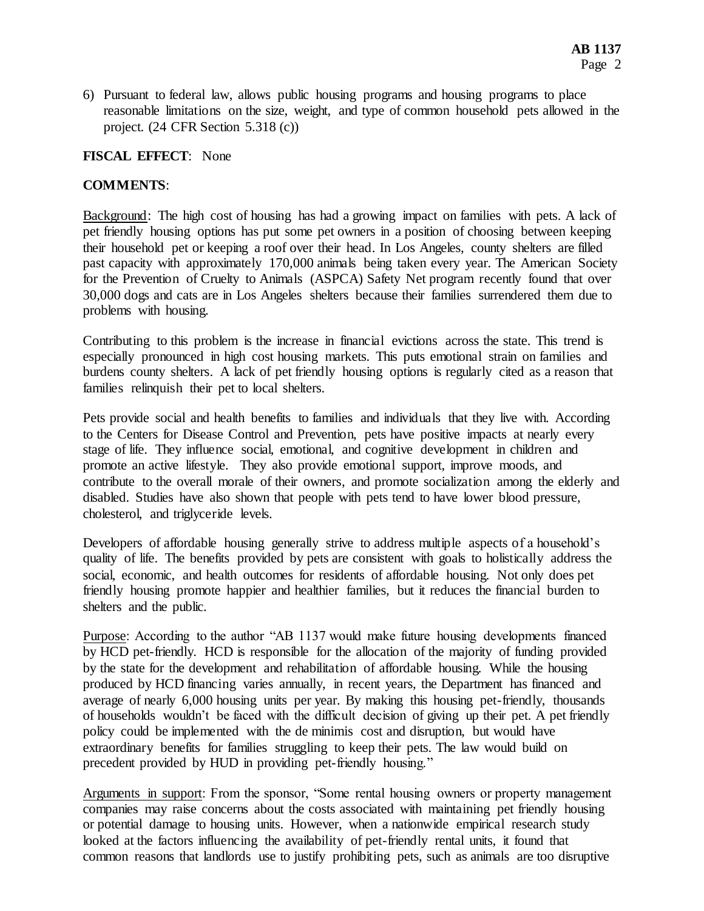6) Pursuant to federal law, allows public housing programs and housing programs to place reasonable limitations on the size, weight, and type of common household pets allowed in the project. (24 CFR Section 5.318 (c))

## **FISCAL EFFECT**: None

## **COMMENTS**:

Background: The high cost of housing has had a growing impact on families with pets. A lack of pet friendly housing options has put some pet owners in a position of choosing between keeping their household pet or keeping a roof over their head. In Los Angeles, county shelters are filled past capacity with approximately 170,000 animals being taken every year. The American Society for the Prevention of Cruelty to Animals (ASPCA) Safety Net program recently found that over 30,000 dogs and cats are in Los Angeles shelters because their families surrendered them due to problems with housing.

Contributing to this problem is the increase in financial evictions across the state. This trend is especially pronounced in high cost housing markets. This puts emotional strain on families and burdens county shelters. A lack of pet friendly housing options is regularly cited as a reason that families relinquish their pet to local shelters.

Pets provide social and health benefits to families and individuals that they live with. According to the Centers for Disease Control and Prevention, pets have positive impacts at nearly every stage of life. They influence social, emotional, and cognitive development in children and promote an active lifestyle. They also provide emotional support, improve moods, and contribute to the overall morale of their owners, and promote socialization among the elderly and disabled. Studies have also shown that people with pets tend to have lower blood pressure, cholesterol, and triglyceride levels.

Developers of affordable housing generally strive to address multiple aspects of a household's quality of life. The benefits provided by pets are consistent with goals to holistically address the social, economic, and health outcomes for residents of affordable housing. Not only does pet friendly housing promote happier and healthier families, but it reduces the financial burden to shelters and the public.

Purpose: According to the author "AB 1137 would make future housing developments financed by HCD pet-friendly. HCD is responsible for the allocation of the majority of funding provided by the state for the development and rehabilitation of affordable housing. While the housing produced by HCD financing varies annually, in recent years, the Department has financed and average of nearly 6,000 housing units per year. By making this housing pet-friendly, thousands of households wouldn't be faced with the difficult decision of giving up their pet. A pet friendly policy could be implemented with the de minimis cost and disruption, but would have extraordinary benefits for families struggling to keep their pets. The law would build on precedent provided by HUD in providing pet-friendly housing."

Arguments in support: From the sponsor, "Some rental housing owners or property management companies may raise concerns about the costs associated with maintaining pet friendly housing or potential damage to housing units. However, when a nationwide empirical research study looked at the factors influencing the availability of pet-friendly rental units, it found that common reasons that landlords use to justify prohibiting pets, such as animals are too disruptive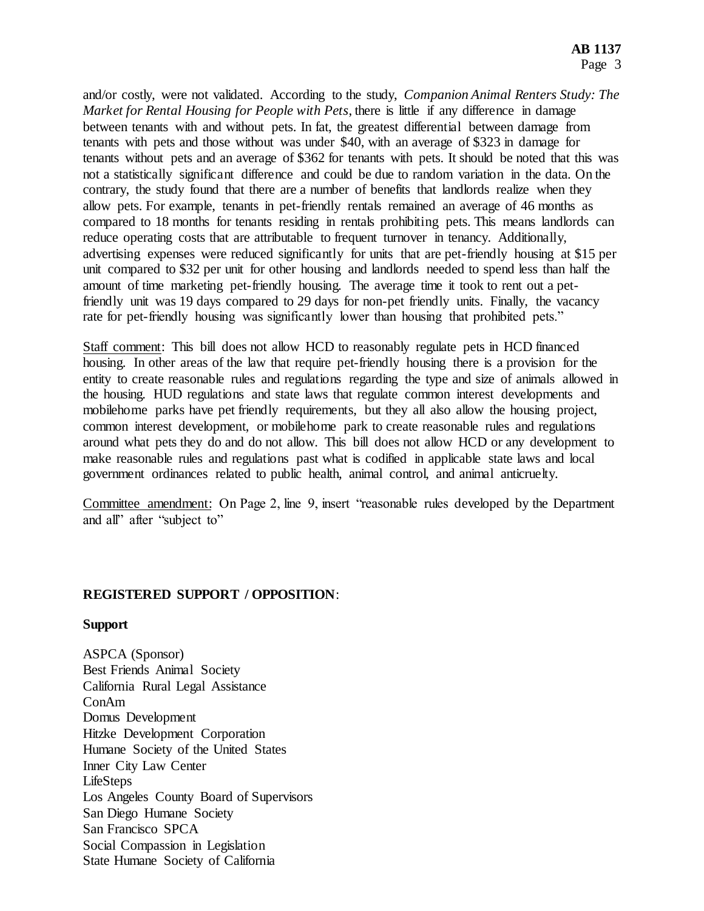and/or costly, were not validated. According to the study, *Companion Animal Renters Study: The Market for Rental Housing for People with Pets*, there is little if any difference in damage between tenants with and without pets. In fat, the greatest differential between damage from tenants with pets and those without was under \$40, with an average of \$323 in damage for tenants without pets and an average of \$362 for tenants with pets. It should be noted that this was not a statistically significant difference and could be due to random variation in the data. On the contrary, the study found that there are a number of benefits that landlords realize when they allow pets. For example, tenants in pet-friendly rentals remained an average of 46 months as compared to 18 months for tenants residing in rentals prohibiting pets. This means landlords can reduce operating costs that are attributable to frequent turnover in tenancy. Additionally, advertising expenses were reduced significantly for units that are pet-friendly housing at \$15 per unit compared to \$32 per unit for other housing and landlords needed to spend less than half the amount of time marketing pet-friendly housing. The average time it took to rent out a petfriendly unit was 19 days compared to 29 days for non-pet friendly units. Finally, the vacancy rate for pet-friendly housing was significantly lower than housing that prohibited pets."

Staff comment: This bill does not allow HCD to reasonably regulate pets in HCD financed housing. In other areas of the law that require pet-friendly housing there is a provision for the entity to create reasonable rules and regulations regarding the type and size of animals allowed in the housing. HUD regulations and state laws that regulate common interest developments and mobilehome parks have pet friendly requirements, but they all also allow the housing project, common interest development, or mobilehome park to create reasonable rules and regulations around what pets they do and do not allow. This bill does not allow HCD or any development to make reasonable rules and regulations past what is codified in applicable state laws and local government ordinances related to public health, animal control, and animal anticruelty.

Committee amendment: On Page 2, line 9, insert "reasonable rules developed by the Department and all" after "subject to"

## **REGISTERED SUPPORT / OPPOSITION**:

#### **Support**

ASPCA (Sponsor) Best Friends Animal Society California Rural Legal Assistance ConAm Domus Development Hitzke Development Corporation Humane Society of the United States Inner City Law Center LifeSteps Los Angeles County Board of Supervisors San Diego Humane Society San Francisco SPCA Social Compassion in Legislation State Humane Society of California